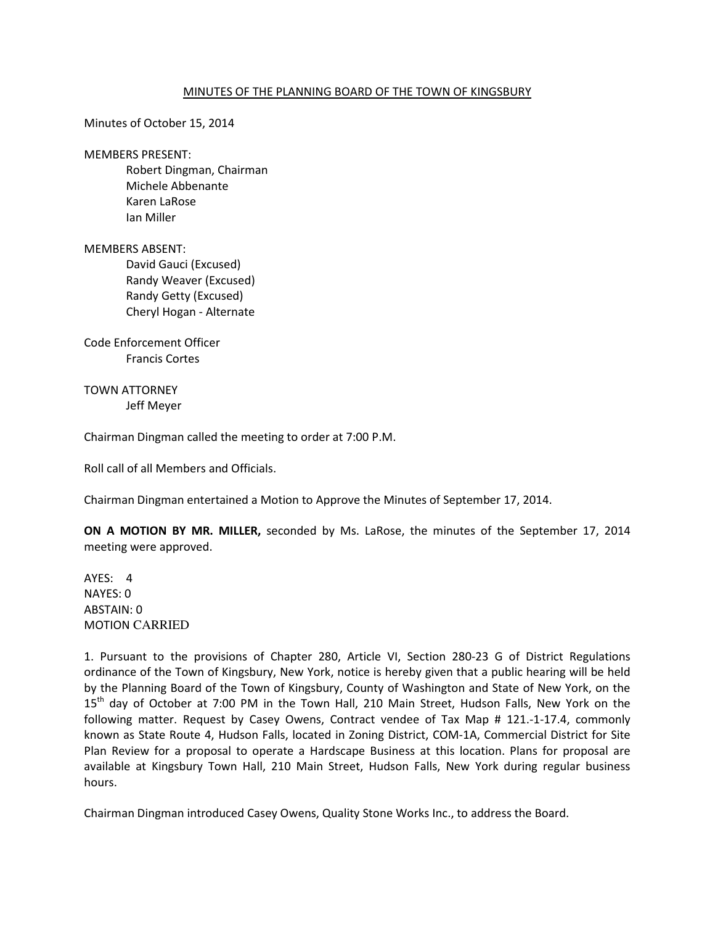### MINUTES OF THE PLANNING BOARD OF THE TOWN OF KINGSBURY

Minutes of October 15, 2014

MEMBERS PRESENT:

 Robert Dingman, Chairman Michele Abbenante Karen LaRose Ian Miller

MEMBERS ABSENT:

 David Gauci (Excused) Randy Weaver (Excused) Randy Getty (Excused) Cheryl Hogan - Alternate

Code Enforcement Officer Francis Cortes

TOWN ATTORNEY Jeff Meyer

Chairman Dingman called the meeting to order at 7:00 P.M.

Roll call of all Members and Officials.

Chairman Dingman entertained a Motion to Approve the Minutes of September 17, 2014.

**ON A MOTION BY MR. MILLER,** seconded by Ms. LaRose, the minutes of the September 17, 2014 meeting were approved.

AYES: 4 NAYES: 0 ABSTAIN: 0 MOTION CARRIED

1. Pursuant to the provisions of Chapter 280, Article VI, Section 280-23 G of District Regulations ordinance of the Town of Kingsbury, New York, notice is hereby given that a public hearing will be held by the Planning Board of the Town of Kingsbury, County of Washington and State of New York, on the 15<sup>th</sup> day of October at 7:00 PM in the Town Hall, 210 Main Street, Hudson Falls, New York on the following matter. Request by Casey Owens, Contract vendee of Tax Map # 121.-1-17.4, commonly known as State Route 4, Hudson Falls, located in Zoning District, COM-1A, Commercial District for Site Plan Review for a proposal to operate a Hardscape Business at this location. Plans for proposal are available at Kingsbury Town Hall, 210 Main Street, Hudson Falls, New York during regular business hours.

Chairman Dingman introduced Casey Owens, Quality Stone Works Inc., to address the Board.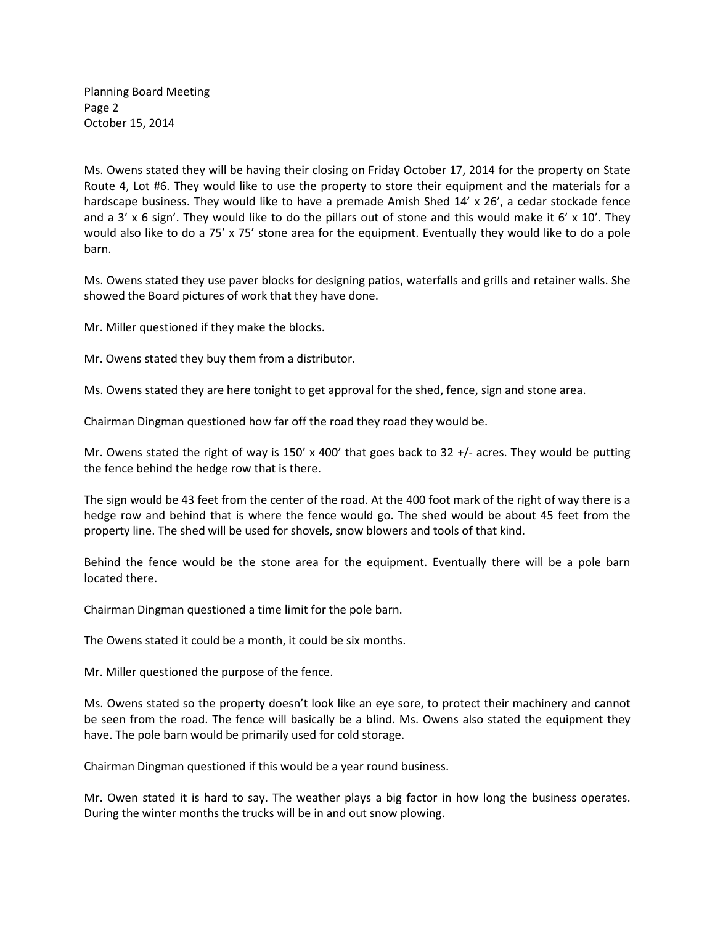Planning Board Meeting Page 2 October 15, 2014

Ms. Owens stated they will be having their closing on Friday October 17, 2014 for the property on State Route 4, Lot #6. They would like to use the property to store their equipment and the materials for a hardscape business. They would like to have a premade Amish Shed 14' x 26', a cedar stockade fence and a 3' x 6 sign'. They would like to do the pillars out of stone and this would make it 6' x 10'. They would also like to do a 75' x 75' stone area for the equipment. Eventually they would like to do a pole barn.

Ms. Owens stated they use paver blocks for designing patios, waterfalls and grills and retainer walls. She showed the Board pictures of work that they have done.

Mr. Miller questioned if they make the blocks.

Mr. Owens stated they buy them from a distributor.

Ms. Owens stated they are here tonight to get approval for the shed, fence, sign and stone area.

Chairman Dingman questioned how far off the road they road they would be.

Mr. Owens stated the right of way is 150' x 400' that goes back to 32 +/- acres. They would be putting the fence behind the hedge row that is there.

The sign would be 43 feet from the center of the road. At the 400 foot mark of the right of way there is a hedge row and behind that is where the fence would go. The shed would be about 45 feet from the property line. The shed will be used for shovels, snow blowers and tools of that kind.

Behind the fence would be the stone area for the equipment. Eventually there will be a pole barn located there.

Chairman Dingman questioned a time limit for the pole barn.

The Owens stated it could be a month, it could be six months.

Mr. Miller questioned the purpose of the fence.

Ms. Owens stated so the property doesn't look like an eye sore, to protect their machinery and cannot be seen from the road. The fence will basically be a blind. Ms. Owens also stated the equipment they have. The pole barn would be primarily used for cold storage.

Chairman Dingman questioned if this would be a year round business.

Mr. Owen stated it is hard to say. The weather plays a big factor in how long the business operates. During the winter months the trucks will be in and out snow plowing.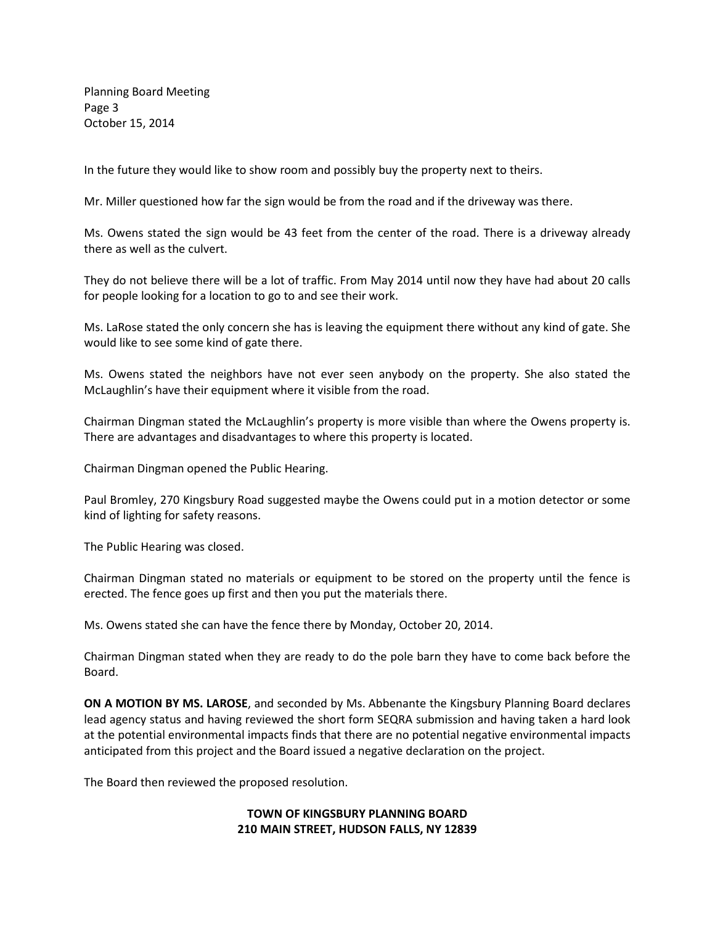Planning Board Meeting Page 3 October 15, 2014

In the future they would like to show room and possibly buy the property next to theirs.

Mr. Miller questioned how far the sign would be from the road and if the driveway was there.

Ms. Owens stated the sign would be 43 feet from the center of the road. There is a driveway already there as well as the culvert.

They do not believe there will be a lot of traffic. From May 2014 until now they have had about 20 calls for people looking for a location to go to and see their work.

Ms. LaRose stated the only concern she has is leaving the equipment there without any kind of gate. She would like to see some kind of gate there.

Ms. Owens stated the neighbors have not ever seen anybody on the property. She also stated the McLaughlin's have their equipment where it visible from the road.

Chairman Dingman stated the McLaughlin's property is more visible than where the Owens property is. There are advantages and disadvantages to where this property is located.

Chairman Dingman opened the Public Hearing.

Paul Bromley, 270 Kingsbury Road suggested maybe the Owens could put in a motion detector or some kind of lighting for safety reasons.

The Public Hearing was closed.

Chairman Dingman stated no materials or equipment to be stored on the property until the fence is erected. The fence goes up first and then you put the materials there.

Ms. Owens stated she can have the fence there by Monday, October 20, 2014.

Chairman Dingman stated when they are ready to do the pole barn they have to come back before the Board.

**ON A MOTION BY MS. LAROSE**, and seconded by Ms. Abbenante the Kingsbury Planning Board declares lead agency status and having reviewed the short form SEQRA submission and having taken a hard look at the potential environmental impacts finds that there are no potential negative environmental impacts anticipated from this project and the Board issued a negative declaration on the project.

The Board then reviewed the proposed resolution.

## **TOWN OF KINGSBURY PLANNING BOARD 210 MAIN STREET, HUDSON FALLS, NY 12839**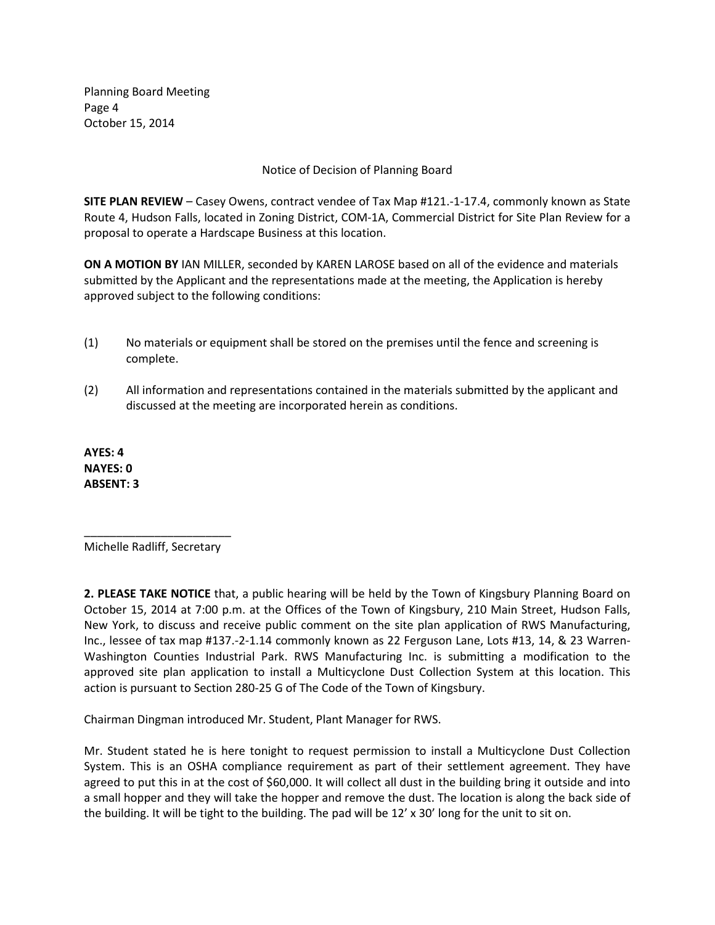Planning Board Meeting Page 4 October 15, 2014

Notice of Decision of Planning Board

**SITE PLAN REVIEW** – Casey Owens, contract vendee of Tax Map #121.-1-17.4, commonly known as State Route 4, Hudson Falls, located in Zoning District, COM-1A, Commercial District for Site Plan Review for a proposal to operate a Hardscape Business at this location.

**ON A MOTION BY** IAN MILLER, seconded by KAREN LAROSE based on all of the evidence and materials submitted by the Applicant and the representations made at the meeting, the Application is hereby approved subject to the following conditions:

- (1) No materials or equipment shall be stored on the premises until the fence and screening is complete.
- (2) All information and representations contained in the materials submitted by the applicant and discussed at the meeting are incorporated herein as conditions.

**AYES: 4 NAYES: 0 ABSENT: 3** 

\_\_\_\_\_\_\_\_\_\_\_\_\_\_\_\_\_\_\_\_\_\_\_ Michelle Radliff, Secretary

**2. PLEASE TAKE NOTICE** that, a public hearing will be held by the Town of Kingsbury Planning Board on October 15, 2014 at 7:00 p.m. at the Offices of the Town of Kingsbury, 210 Main Street, Hudson Falls, New York, to discuss and receive public comment on the site plan application of RWS Manufacturing, Inc., lessee of tax map #137.-2-1.14 commonly known as 22 Ferguson Lane, Lots #13, 14, & 23 Warren-Washington Counties Industrial Park. RWS Manufacturing Inc. is submitting a modification to the approved site plan application to install a Multicyclone Dust Collection System at this location. This action is pursuant to Section 280-25 G of The Code of the Town of Kingsbury.

Chairman Dingman introduced Mr. Student, Plant Manager for RWS.

Mr. Student stated he is here tonight to request permission to install a Multicyclone Dust Collection System. This is an OSHA compliance requirement as part of their settlement agreement. They have agreed to put this in at the cost of \$60,000. It will collect all dust in the building bring it outside and into a small hopper and they will take the hopper and remove the dust. The location is along the back side of the building. It will be tight to the building. The pad will be 12' x 30' long for the unit to sit on.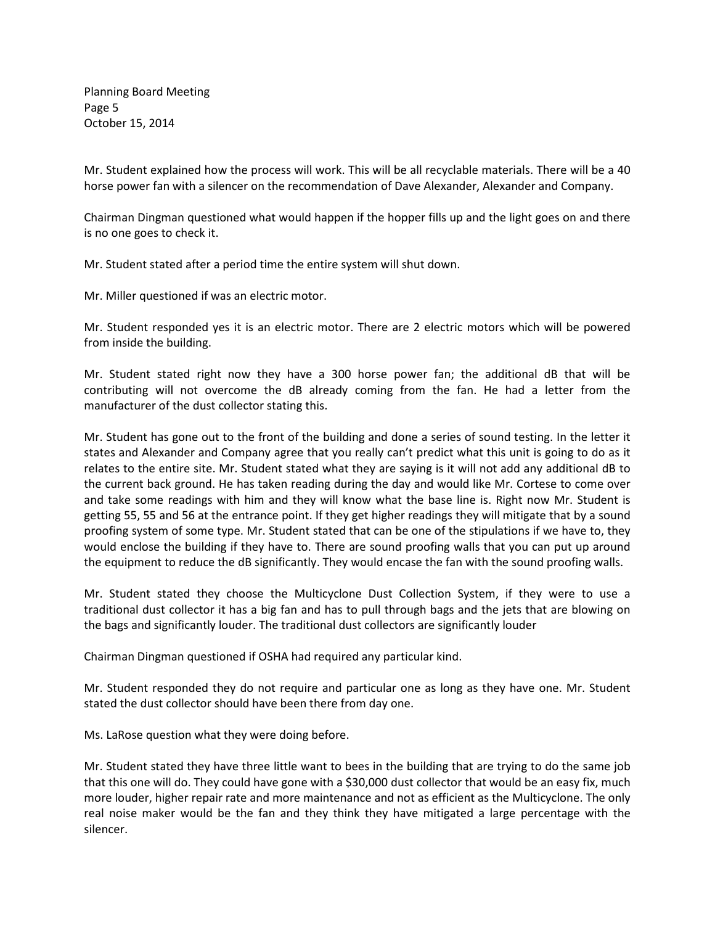Planning Board Meeting Page 5 October 15, 2014

Mr. Student explained how the process will work. This will be all recyclable materials. There will be a 40 horse power fan with a silencer on the recommendation of Dave Alexander, Alexander and Company.

Chairman Dingman questioned what would happen if the hopper fills up and the light goes on and there is no one goes to check it.

Mr. Student stated after a period time the entire system will shut down.

Mr. Miller questioned if was an electric motor.

Mr. Student responded yes it is an electric motor. There are 2 electric motors which will be powered from inside the building.

Mr. Student stated right now they have a 300 horse power fan; the additional dB that will be contributing will not overcome the dB already coming from the fan. He had a letter from the manufacturer of the dust collector stating this.

Mr. Student has gone out to the front of the building and done a series of sound testing. In the letter it states and Alexander and Company agree that you really can't predict what this unit is going to do as it relates to the entire site. Mr. Student stated what they are saying is it will not add any additional dB to the current back ground. He has taken reading during the day and would like Mr. Cortese to come over and take some readings with him and they will know what the base line is. Right now Mr. Student is getting 55, 55 and 56 at the entrance point. If they get higher readings they will mitigate that by a sound proofing system of some type. Mr. Student stated that can be one of the stipulations if we have to, they would enclose the building if they have to. There are sound proofing walls that you can put up around the equipment to reduce the dB significantly. They would encase the fan with the sound proofing walls.

Mr. Student stated they choose the Multicyclone Dust Collection System, if they were to use a traditional dust collector it has a big fan and has to pull through bags and the jets that are blowing on the bags and significantly louder. The traditional dust collectors are significantly louder

Chairman Dingman questioned if OSHA had required any particular kind.

Mr. Student responded they do not require and particular one as long as they have one. Mr. Student stated the dust collector should have been there from day one.

Ms. LaRose question what they were doing before.

Mr. Student stated they have three little want to bees in the building that are trying to do the same job that this one will do. They could have gone with a \$30,000 dust collector that would be an easy fix, much more louder, higher repair rate and more maintenance and not as efficient as the Multicyclone. The only real noise maker would be the fan and they think they have mitigated a large percentage with the silencer.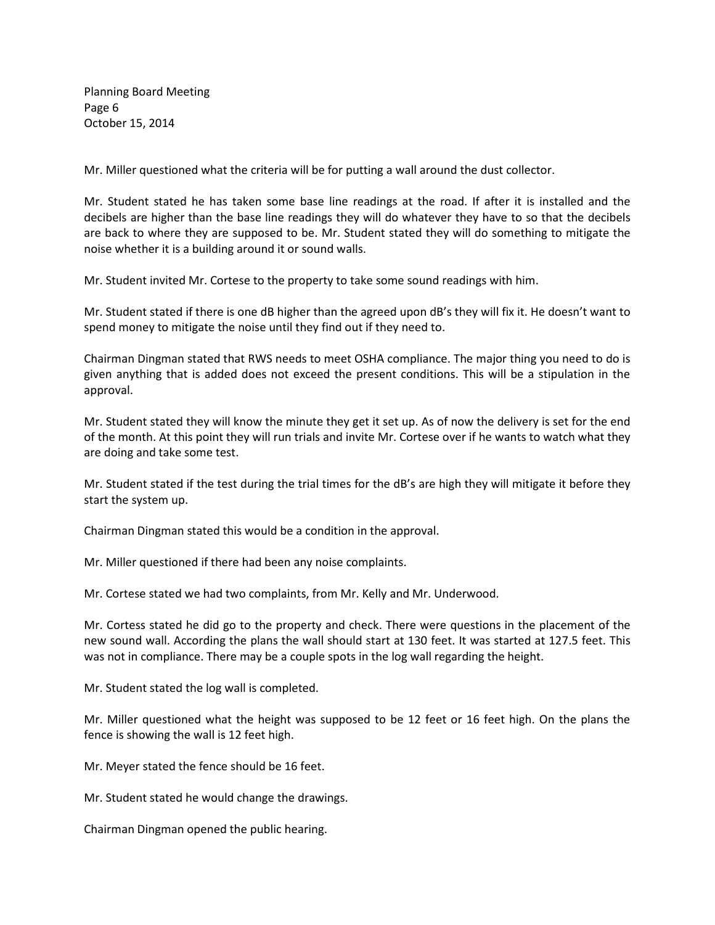Planning Board Meeting Page 6 October 15, 2014

Mr. Miller questioned what the criteria will be for putting a wall around the dust collector.

Mr. Student stated he has taken some base line readings at the road. If after it is installed and the decibels are higher than the base line readings they will do whatever they have to so that the decibels are back to where they are supposed to be. Mr. Student stated they will do something to mitigate the noise whether it is a building around it or sound walls.

Mr. Student invited Mr. Cortese to the property to take some sound readings with him.

Mr. Student stated if there is one dB higher than the agreed upon dB's they will fix it. He doesn't want to spend money to mitigate the noise until they find out if they need to.

Chairman Dingman stated that RWS needs to meet OSHA compliance. The major thing you need to do is given anything that is added does not exceed the present conditions. This will be a stipulation in the approval.

Mr. Student stated they will know the minute they get it set up. As of now the delivery is set for the end of the month. At this point they will run trials and invite Mr. Cortese over if he wants to watch what they are doing and take some test.

Mr. Student stated if the test during the trial times for the dB's are high they will mitigate it before they start the system up.

Chairman Dingman stated this would be a condition in the approval.

Mr. Miller questioned if there had been any noise complaints.

Mr. Cortese stated we had two complaints, from Mr. Kelly and Mr. Underwood.

Mr. Cortess stated he did go to the property and check. There were questions in the placement of the new sound wall. According the plans the wall should start at 130 feet. It was started at 127.5 feet. This was not in compliance. There may be a couple spots in the log wall regarding the height.

Mr. Student stated the log wall is completed.

Mr. Miller questioned what the height was supposed to be 12 feet or 16 feet high. On the plans the fence is showing the wall is 12 feet high.

Mr. Meyer stated the fence should be 16 feet.

Mr. Student stated he would change the drawings.

Chairman Dingman opened the public hearing.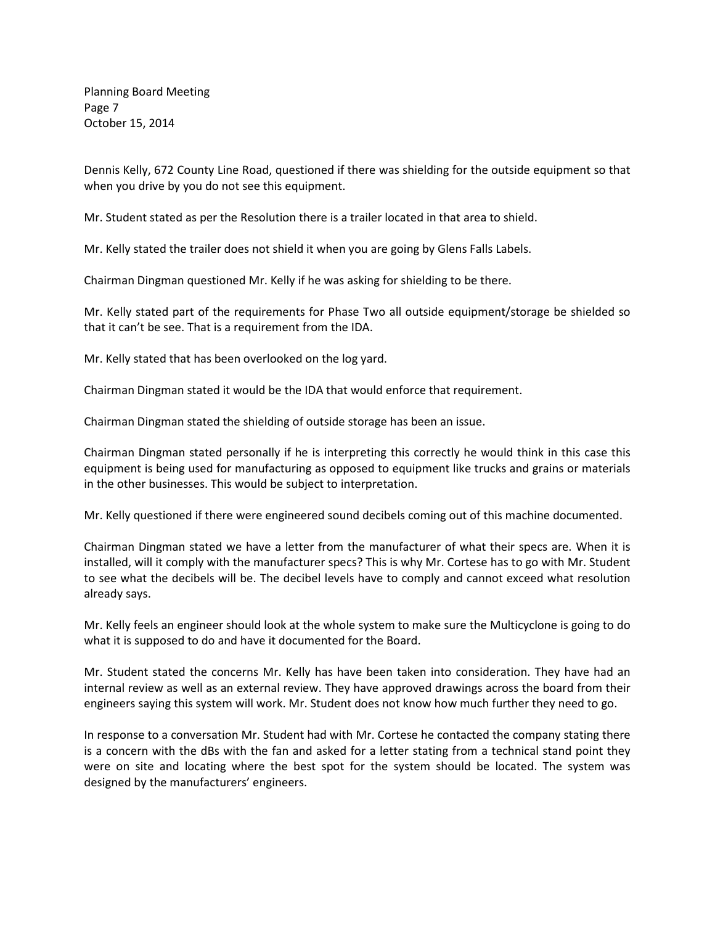Planning Board Meeting Page 7 October 15, 2014

Dennis Kelly, 672 County Line Road, questioned if there was shielding for the outside equipment so that when you drive by you do not see this equipment.

Mr. Student stated as per the Resolution there is a trailer located in that area to shield.

Mr. Kelly stated the trailer does not shield it when you are going by Glens Falls Labels.

Chairman Dingman questioned Mr. Kelly if he was asking for shielding to be there.

Mr. Kelly stated part of the requirements for Phase Two all outside equipment/storage be shielded so that it can't be see. That is a requirement from the IDA.

Mr. Kelly stated that has been overlooked on the log yard.

Chairman Dingman stated it would be the IDA that would enforce that requirement.

Chairman Dingman stated the shielding of outside storage has been an issue.

Chairman Dingman stated personally if he is interpreting this correctly he would think in this case this equipment is being used for manufacturing as opposed to equipment like trucks and grains or materials in the other businesses. This would be subject to interpretation.

Mr. Kelly questioned if there were engineered sound decibels coming out of this machine documented.

Chairman Dingman stated we have a letter from the manufacturer of what their specs are. When it is installed, will it comply with the manufacturer specs? This is why Mr. Cortese has to go with Mr. Student to see what the decibels will be. The decibel levels have to comply and cannot exceed what resolution already says.

Mr. Kelly feels an engineer should look at the whole system to make sure the Multicyclone is going to do what it is supposed to do and have it documented for the Board.

Mr. Student stated the concerns Mr. Kelly has have been taken into consideration. They have had an internal review as well as an external review. They have approved drawings across the board from their engineers saying this system will work. Mr. Student does not know how much further they need to go.

In response to a conversation Mr. Student had with Mr. Cortese he contacted the company stating there is a concern with the dBs with the fan and asked for a letter stating from a technical stand point they were on site and locating where the best spot for the system should be located. The system was designed by the manufacturers' engineers.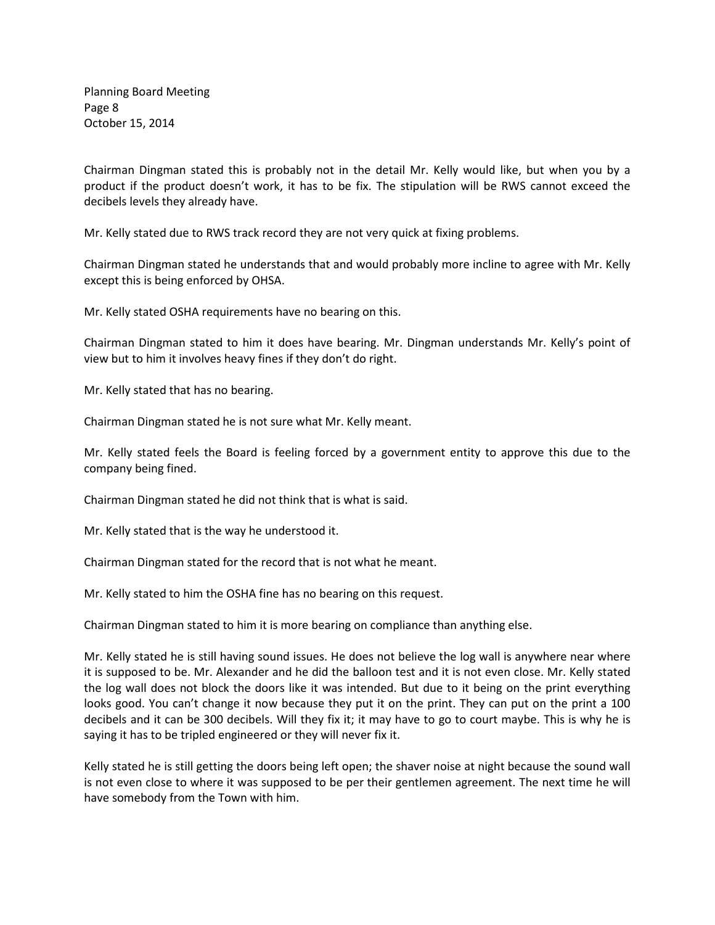Planning Board Meeting Page 8 October 15, 2014

Chairman Dingman stated this is probably not in the detail Mr. Kelly would like, but when you by a product if the product doesn't work, it has to be fix. The stipulation will be RWS cannot exceed the decibels levels they already have.

Mr. Kelly stated due to RWS track record they are not very quick at fixing problems.

Chairman Dingman stated he understands that and would probably more incline to agree with Mr. Kelly except this is being enforced by OHSA.

Mr. Kelly stated OSHA requirements have no bearing on this.

Chairman Dingman stated to him it does have bearing. Mr. Dingman understands Mr. Kelly's point of view but to him it involves heavy fines if they don't do right.

Mr. Kelly stated that has no bearing.

Chairman Dingman stated he is not sure what Mr. Kelly meant.

Mr. Kelly stated feels the Board is feeling forced by a government entity to approve this due to the company being fined.

Chairman Dingman stated he did not think that is what is said.

Mr. Kelly stated that is the way he understood it.

Chairman Dingman stated for the record that is not what he meant.

Mr. Kelly stated to him the OSHA fine has no bearing on this request.

Chairman Dingman stated to him it is more bearing on compliance than anything else.

Mr. Kelly stated he is still having sound issues. He does not believe the log wall is anywhere near where it is supposed to be. Mr. Alexander and he did the balloon test and it is not even close. Mr. Kelly stated the log wall does not block the doors like it was intended. But due to it being on the print everything looks good. You can't change it now because they put it on the print. They can put on the print a 100 decibels and it can be 300 decibels. Will they fix it; it may have to go to court maybe. This is why he is saying it has to be tripled engineered or they will never fix it.

Kelly stated he is still getting the doors being left open; the shaver noise at night because the sound wall is not even close to where it was supposed to be per their gentlemen agreement. The next time he will have somebody from the Town with him.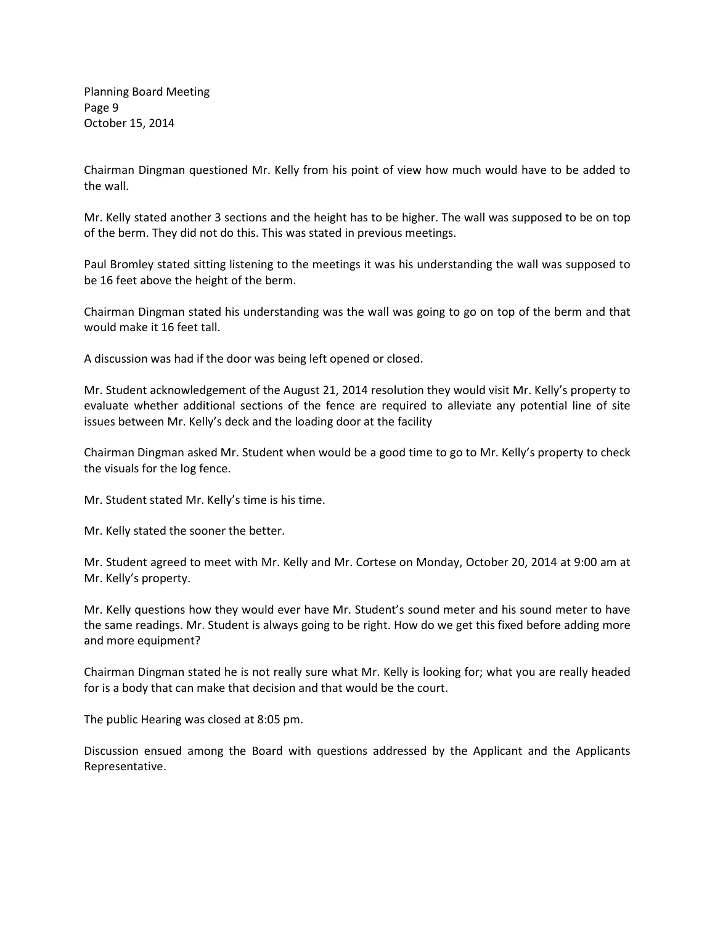Planning Board Meeting Page 9 October 15, 2014

Chairman Dingman questioned Mr. Kelly from his point of view how much would have to be added to the wall.

Mr. Kelly stated another 3 sections and the height has to be higher. The wall was supposed to be on top of the berm. They did not do this. This was stated in previous meetings.

Paul Bromley stated sitting listening to the meetings it was his understanding the wall was supposed to be 16 feet above the height of the berm.

Chairman Dingman stated his understanding was the wall was going to go on top of the berm and that would make it 16 feet tall.

A discussion was had if the door was being left opened or closed.

Mr. Student acknowledgement of the August 21, 2014 resolution they would visit Mr. Kelly's property to evaluate whether additional sections of the fence are required to alleviate any potential line of site issues between Mr. Kelly's deck and the loading door at the facility

Chairman Dingman asked Mr. Student when would be a good time to go to Mr. Kelly's property to check the visuals for the log fence.

Mr. Student stated Mr. Kelly's time is his time.

Mr. Kelly stated the sooner the better.

Mr. Student agreed to meet with Mr. Kelly and Mr. Cortese on Monday, October 20, 2014 at 9:00 am at Mr. Kelly's property.

Mr. Kelly questions how they would ever have Mr. Student's sound meter and his sound meter to have the same readings. Mr. Student is always going to be right. How do we get this fixed before adding more and more equipment?

Chairman Dingman stated he is not really sure what Mr. Kelly is looking for; what you are really headed for is a body that can make that decision and that would be the court.

The public Hearing was closed at 8:05 pm.

Discussion ensued among the Board with questions addressed by the Applicant and the Applicants Representative.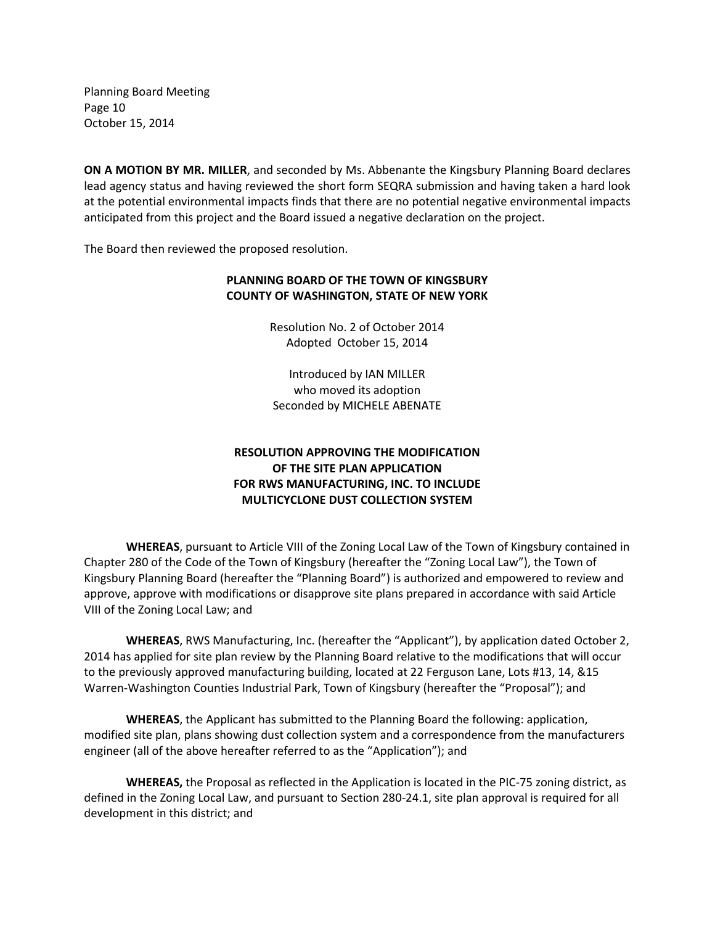Planning Board Meeting Page 10 October 15, 2014

**ON A MOTION BY MR. MILLER**, and seconded by Ms. Abbenante the Kingsbury Planning Board declares lead agency status and having reviewed the short form SEQRA submission and having taken a hard look at the potential environmental impacts finds that there are no potential negative environmental impacts anticipated from this project and the Board issued a negative declaration on the project.

The Board then reviewed the proposed resolution.

## **PLANNING BOARD OF THE TOWN OF KINGSBURY COUNTY OF WASHINGTON, STATE OF NEW YORK**

Resolution No. 2 of October 2014 Adopted October 15, 2014

Introduced by IAN MILLER who moved its adoption Seconded by MICHELE ABENATE

# **RESOLUTION APPROVING THE MODIFICATION OF THE SITE PLAN APPLICATION FOR RWS MANUFACTURING, INC. TO INCLUDE MULTICYCLONE DUST COLLECTION SYSTEM**

**WHEREAS**, pursuant to Article VIII of the Zoning Local Law of the Town of Kingsbury contained in Chapter 280 of the Code of the Town of Kingsbury (hereafter the "Zoning Local Law"), the Town of Kingsbury Planning Board (hereafter the "Planning Board") is authorized and empowered to review and approve, approve with modifications or disapprove site plans prepared in accordance with said Article VIII of the Zoning Local Law; and

**WHEREAS**, RWS Manufacturing, Inc. (hereafter the "Applicant"), by application dated October 2, 2014 has applied for site plan review by the Planning Board relative to the modifications that will occur to the previously approved manufacturing building, located at 22 Ferguson Lane, Lots #13, 14, &15 Warren-Washington Counties Industrial Park, Town of Kingsbury (hereafter the "Proposal"); and

**WHEREAS**, the Applicant has submitted to the Planning Board the following: application, modified site plan, plans showing dust collection system and a correspondence from the manufacturers engineer (all of the above hereafter referred to as the "Application"); and

**WHEREAS,** the Proposal as reflected in the Application is located in the PIC-75 zoning district, as defined in the Zoning Local Law, and pursuant to Section 280-24.1, site plan approval is required for all development in this district; and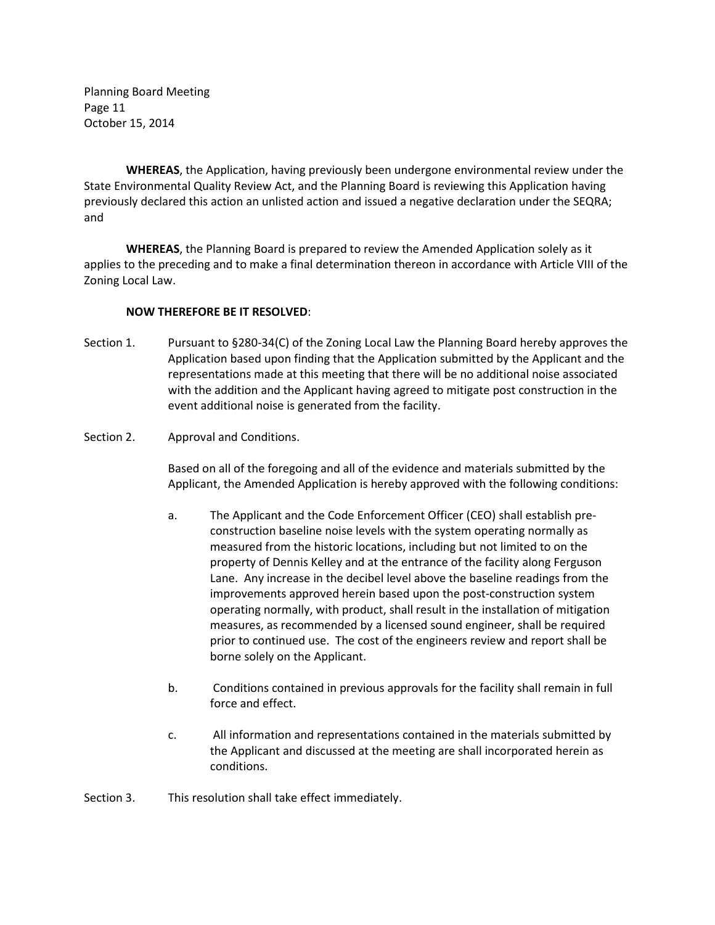Planning Board Meeting Page 11 October 15, 2014

**WHEREAS**, the Application, having previously been undergone environmental review under the State Environmental Quality Review Act, and the Planning Board is reviewing this Application having previously declared this action an unlisted action and issued a negative declaration under the SEQRA; and

**WHEREAS**, the Planning Board is prepared to review the Amended Application solely as it applies to the preceding and to make a final determination thereon in accordance with Article VIII of the Zoning Local Law.

### **NOW THEREFORE BE IT RESOLVED**:

- Section 1. Pursuant to §280-34(C) of the Zoning Local Law the Planning Board hereby approves the Application based upon finding that the Application submitted by the Applicant and the representations made at this meeting that there will be no additional noise associated with the addition and the Applicant having agreed to mitigate post construction in the event additional noise is generated from the facility.
- Section 2. Approval and Conditions.

 Based on all of the foregoing and all of the evidence and materials submitted by the Applicant, the Amended Application is hereby approved with the following conditions:

- a. The Applicant and the Code Enforcement Officer (CEO) shall establish preconstruction baseline noise levels with the system operating normally as measured from the historic locations, including but not limited to on the property of Dennis Kelley and at the entrance of the facility along Ferguson Lane. Any increase in the decibel level above the baseline readings from the improvements approved herein based upon the post-construction system operating normally, with product, shall result in the installation of mitigation measures, as recommended by a licensed sound engineer, shall be required prior to continued use. The cost of the engineers review and report shall be borne solely on the Applicant.
- b. Conditions contained in previous approvals for the facility shall remain in full force and effect.
- c. All information and representations contained in the materials submitted by the Applicant and discussed at the meeting are shall incorporated herein as conditions.

Section 3. This resolution shall take effect immediately.